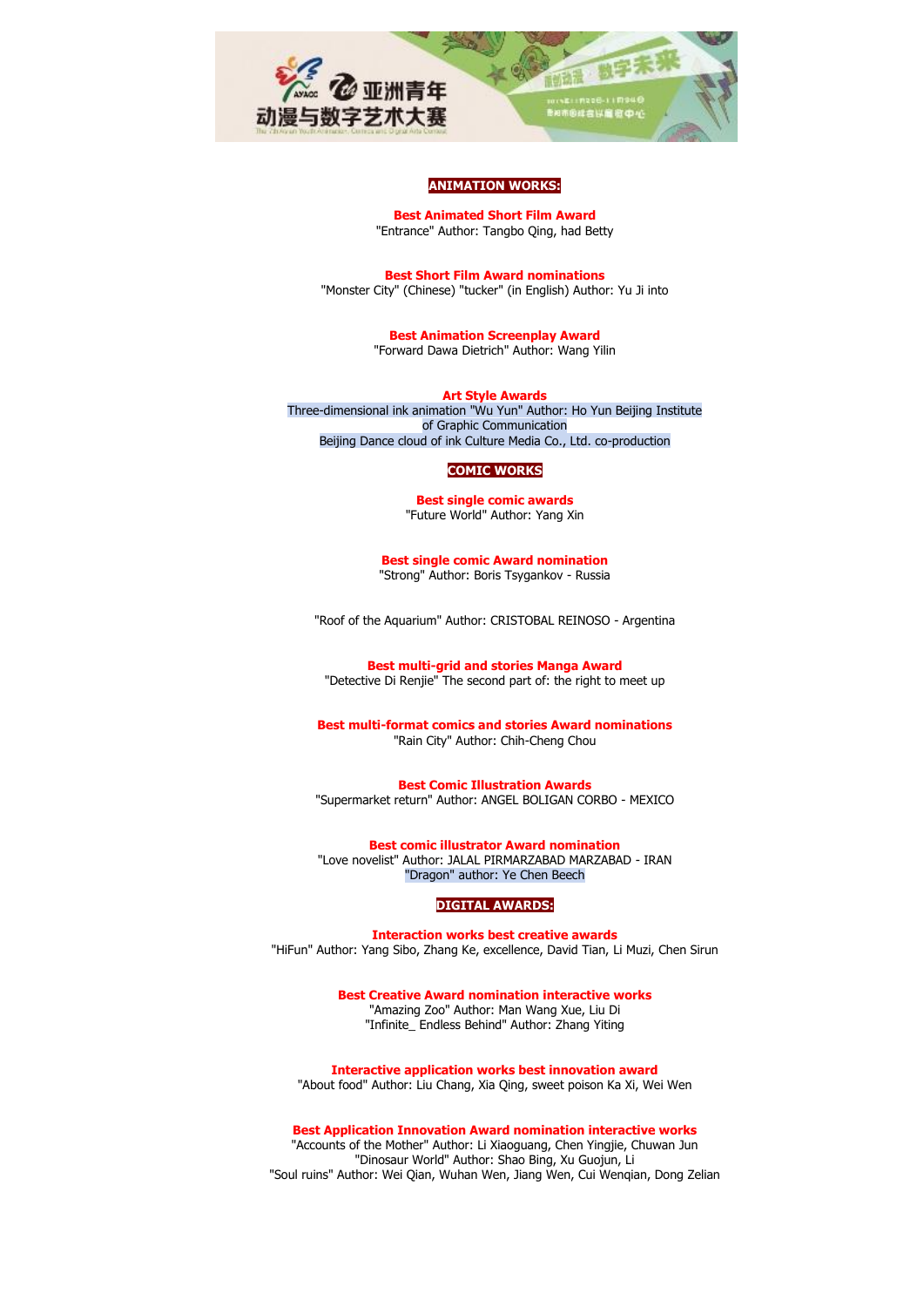

## **ANIMATION WORKS:**

**Best Animated Short Film Award** "Entrance" Author: Tangbo Qing, had Betty

**Best Short Film Award nominations** "Monster City" (Chinese) "tucker" (in English) Author: Yu Ji into

> **Best Animation Screenplay Award** "Forward Dawa Dietrich" Author: Wang Yilin

**Art Style Awards** Three-dimensional ink animation "Wu Yun" Author: Ho Yun Beijing Institute of Graphic Communication Beijing Dance cloud of ink Culture Media Co., Ltd. co-production

#### **COMIC WORKS**

**Best single comic awards** "Future World" Author: Yang Xin

**Best single comic Award nomination** "Strong" Author: Boris Tsygankov - Russia

"Roof of the Aquarium" Author: CRISTOBAL REINOSO - Argentina

**Best multi-grid and stories Manga Award** "Detective Di Renjie" The second part of: the right to meet up

**Best multi-format comics and stories Award nominations** "Rain City" Author: Chih-Cheng Chou

**Best Comic Illustration Awards** "Supermarket return" Author: ANGEL BOLIGAN CORBO - MEXICO

**Best comic illustrator Award nomination** "Love novelist" Author: JALAL PIRMARZABAD MARZABAD - IRAN "Dragon" author: Ye Chen Beech

## **DIGITAL AWARDS:**

**Interaction works best creative awards** "HiFun" Author: Yang Sibo, Zhang Ke, excellence, David Tian, Li Muzi, Chen Sirun

> **Best Creative Award nomination interactive works** "Amazing Zoo" Author: Man Wang Xue, Liu Di "Infinite\_ Endless Behind" Author: Zhang Yiting

**Interactive application works best innovation award** "About food" Author: Liu Chang, Xia Qing, sweet poison Ka Xi, Wei Wen

**Best Application Innovation Award nomination interactive works**

"Accounts of the Mother" Author: Li Xiaoguang, Chen Yingjie, Chuwan Jun "Dinosaur World" Author: Shao Bing, Xu Guojun, Li "Soul ruins" Author: Wei Qian, Wuhan Wen, Jiang Wen, Cui Wenqian, Dong Zelian